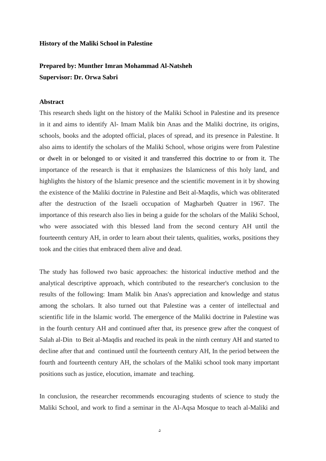## **History of the Maliki School in Palestine**

## **Prepared by: Munther Imran Mohammad Al-Natsheh Supervisor: Dr. Orwa Sabri**

## **Abstract**

This research sheds light on the history of the Maliki School in Palestine and its presence in it and aims to identify Al- Imam Malik bin Anas and the Maliki doctrine, its origins, schools, books and the adopted official, places of spread, and its presence in Palestine. It also aims to identify the scholars of the Maliki School, whose origins were from Palestine or dwelt in or belonged to or visited it and transferred this doctrine to or from it. The importance of the research is that it emphasizes the Islamicness of this holy land, and highlights the history of the Islamic presence and the scientific movement in it by showing the existence of the Maliki doctrine in Palestine and Beit al-Maqdis, which was obliterated after the destruction of the Israeli occupation of Magharbeh Quatrer in 1967. The importance of this research also lies in being a guide for the scholars of the Maliki School, who were associated with this blessed land from the second century AH until the fourteenth century AH, in order to learn about their talents, qualities, works, positions they took and the cities that embraced them alive and dead.

The study has followed two basic approaches: the historical inductive method and the analytical descriptive approach, which contributed to the researcher's conclusion to the results of the following: Imam Malik bin Anas's appreciation and knowledge and status among the scholars. It also turned out that Palestine was a center of intellectual and scientific life in the Islamic world. The emergence of the Maliki doctrine in Palestine was in the fourth century AH and continued after that, its presence grew after the conquest of Salah al-Din to Beit al-Maqdis and reached its peak in the ninth century AH and started to decline after that and continued until the fourteenth century AH, In the period between the fourth and fourteenth century AH, the scholars of the Maliki school took many important positions such as justice, elocution, imamate and teaching.

In conclusion, the researcher recommends encouraging students of science to study the Maliki School, and work to find a seminar in the Al-Aqsa Mosque to teach al-Maliki and